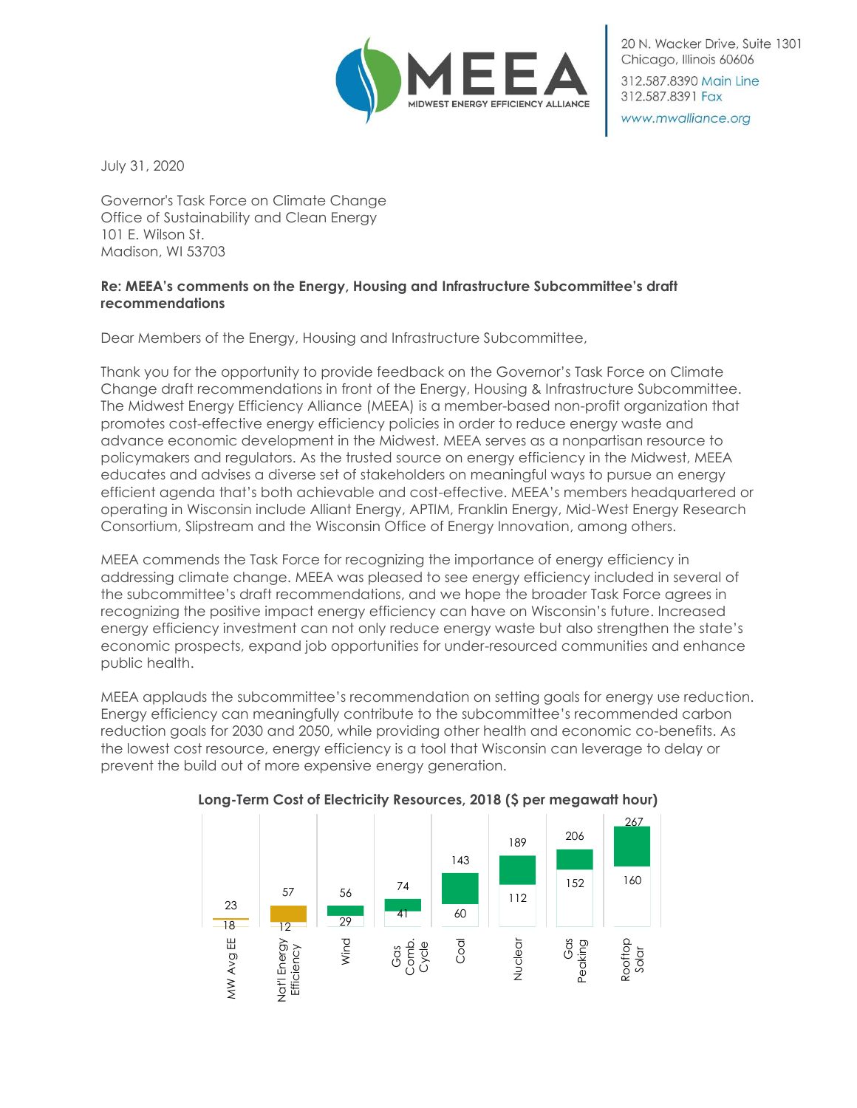

20 N. Wacker Drive, Suite 1301 Chicago, Illinois 60606

312,587,8390 Main Line 312.587.8391 Fax

www.mwalliance.org

July 31, 2020

Governor's Task Force on Climate Change Office of Sustainability and Clean Energy 101 E. Wilson St. Madison, WI 53703

## **Re: MEEA's comments on the Energy, Housing and Infrastructure Subcommittee's draft recommendations**

Dear Members of the Energy, Housing and Infrastructure Subcommittee,

Thank you for the opportunity to provide feedback on the Governor's Task Force on Climate Change draft recommendations in front of the Energy, Housing & Infrastructure Subcommittee. The Midwest Energy Efficiency Alliance (MEEA) is a member-based non-profit organization that promotes cost-effective energy efficiency policies in order to reduce energy waste and advance economic development in the Midwest. MEEA serves as a nonpartisan resource to policymakers and regulators. As the trusted source on energy efficiency in the Midwest, MEEA educates and advises a diverse set of stakeholders on meaningful ways to pursue an energy efficient agenda that's both achievable and cost-effective. MEEA's members headquartered or operating in Wisconsin include Alliant Energy, APTIM, Franklin Energy, Mid-West Energy Research Consortium, Slipstream and the Wisconsin Office of Energy Innovation, among others.

MEEA commends the Task Force for recognizing the importance of energy efficiency in addressing climate change. MEEA was pleased to see energy efficiency included in several of the subcommittee's draft recommendations, and we hope the broader Task Force agrees in recognizing the positive impact energy efficiency can have on Wisconsin's future. Increased energy efficiency investment can not only reduce energy waste but also strengthen the state's economic prospects, expand job opportunities for under-resourced communities and enhance public health.

MEEA applauds the subcommittee's recommendation on setting goals for energy use reduction. Energy efficiency can meaningfully contribute to the subcommittee's recommended carbon reduction goals for 2030 and 2050, while providing other health and economic co-benefits. As the lowest cost resource, energy efficiency is a tool that Wisconsin can leverage to delay or prevent the build out of more expensive energy generation.



## **Long-Term Cost of Electricity Resources, 2018 (\$ per megawatt hour)**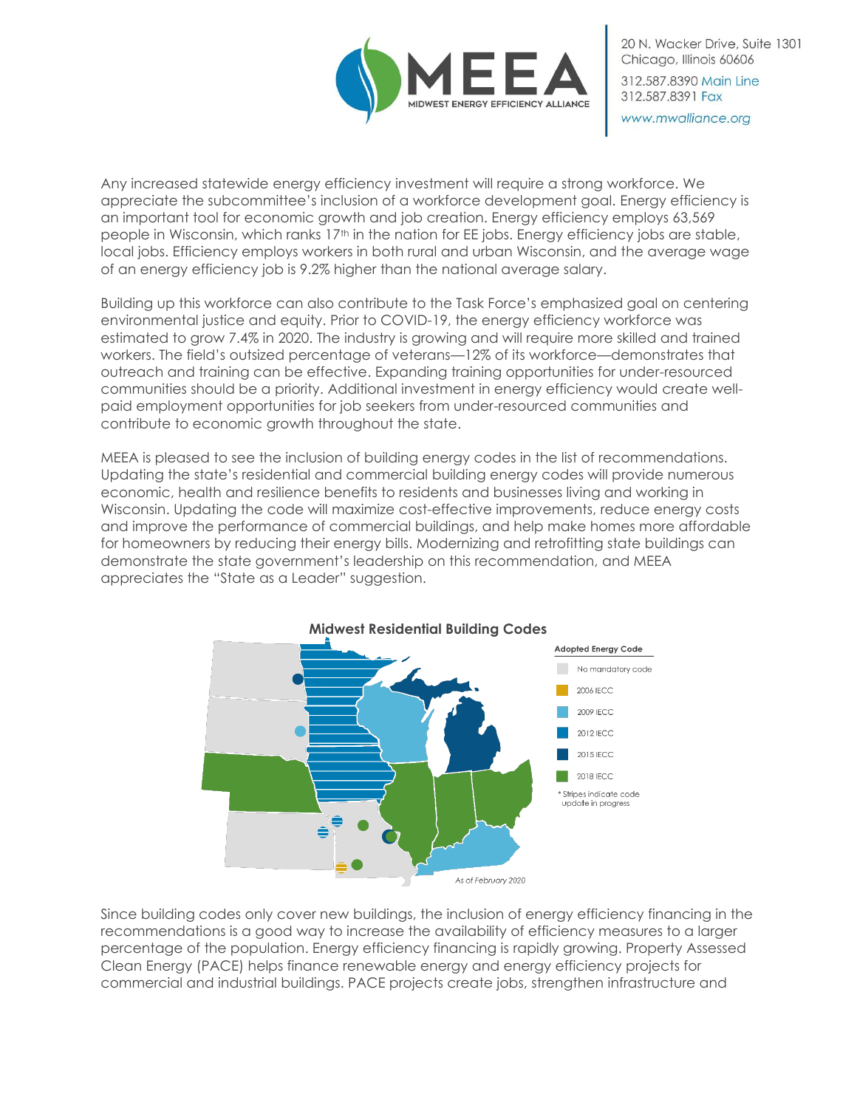

20 N. Wacker Drive, Suite 1301 Chicago, Illinois 60606 312,587,8390 Main Line 312.587.8391 Fax

www.mwalliance.org

Any increased statewide energy efficiency investment will require a strong workforce. We appreciate the subcommittee's inclusion of a workforce development goal. Energy efficiency is an important tool for economic growth and job creation. Energy efficiency employs 63,569 people in Wisconsin, which ranks 17<sup>th</sup> in the nation for EE jobs. Energy efficiency jobs are stable, local jobs. Efficiency employs workers in both rural and urban Wisconsin, and the average wage of an energy efficiency job is 9.2% higher than the national average salary.

Building up this workforce can also contribute to the Task Force's emphasized goal on centering environmental justice and equity. Prior to COVID-19, the energy efficiency workforce was estimated to grow 7.4% in 2020. The industry is growing and will require more skilled and trained workers. The field's outsized percentage of veterans—12% of its workforce—demonstrates that outreach and training can be effective. Expanding training opportunities for under-resourced communities should be a priority. Additional investment in energy efficiency would create wellpaid employment opportunities for job seekers from under-resourced communities and contribute to economic growth throughout the state.

MEEA is pleased to see the inclusion of building energy codes in the list of recommendations. Updating the state's residential and commercial building energy codes will provide numerous economic, health and resilience benefits to residents and businesses living and working in Wisconsin. Updating the code will maximize cost-effective improvements, reduce energy costs and improve the performance of commercial buildings, and help make homes more affordable for homeowners by reducing their energy bills. Modernizing and retrofitting state buildings can demonstrate the state government's leadership on this recommendation, and MEEA appreciates the "State as a Leader" suggestion.



Since building codes only cover new buildings, the inclusion of energy efficiency financing in the recommendations is a good way to increase the availability of efficiency measures to a larger percentage of the population. Energy efficiency financing is rapidly growing. Property Assessed Clean Energy (PACE) helps finance renewable energy and energy efficiency projects for commercial and industrial buildings. PACE projects create jobs, strengthen infrastructure and